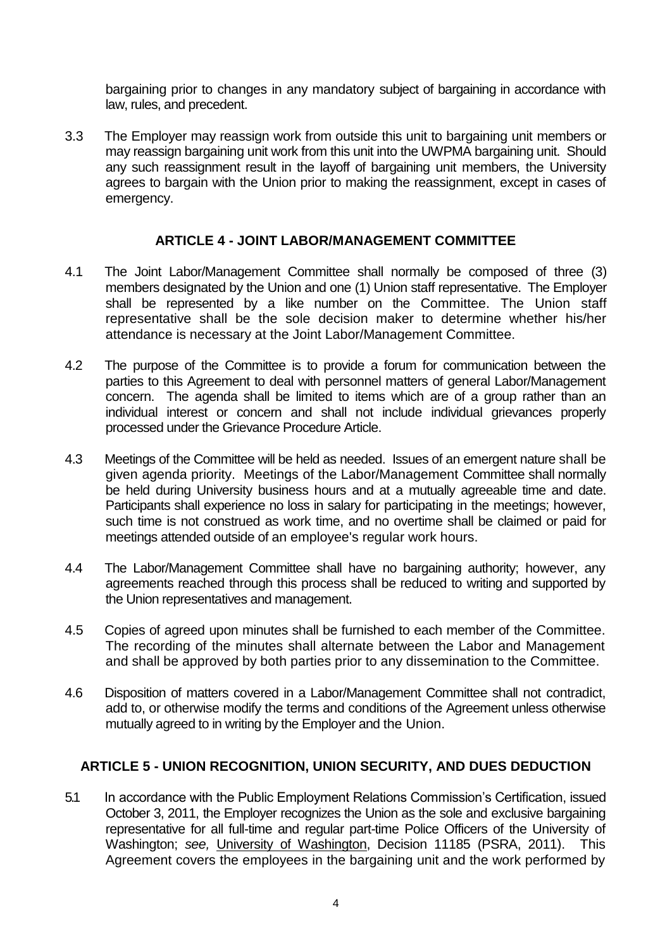bargaining prior to changes in any mandatory subject of bargaining in accordance with law, rules, and precedent.

3.3 The Employer may reassign work from outside this unit to bargaining unit members or may reassign bargaining unit work from this unit into the UWPMA bargaining unit. Should any such reassignment result in the layoff of bargaining unit members, the University agrees to bargain with the Union prior to making the reassignment, except in cases of emergency.

## **ARTICLE 4 - JOINT LABOR/MANAGEMENT COMMITTEE**

- 4.1 The Joint Labor/Management Committee shall normally be composed of three (3) members designated by the Union and one (1) Union staff representative. The Employer shall be represented by a like number on the Committee. The Union staff representative shall be the sole decision maker to determine whether his/her attendance is necessary at the Joint Labor/Management Committee.
- 4.2 The purpose of the Committee is to provide a forum for communication between the parties to this Agreement to deal with personnel matters of general Labor/Management concern. The agenda shall be limited to items which are of a group rather than an individual interest or concern and shall not include individual grievances properly processed under the Grievance Procedure Article.
- 4.3 Meetings of the Committee will be held as needed. Issues of an emergent nature shall be given agenda priority. Meetings of the Labor/Management Committee shall normally be held during University business hours and at a mutually agreeable time and date. Participants shall experience no loss in salary for participating in the meetings; however, such time is not construed as work time, and no overtime shall be claimed or paid for meetings attended outside of an employee's regular work hours.
- 4.4 The Labor/Management Committee shall have no bargaining authority; however, any agreements reached through this process shall be reduced to writing and supported by the Union representatives and management.
- 4.5 Copies of agreed upon minutes shall be furnished to each member of the Committee. The recording of the minutes shall alternate between the Labor and Management and shall be approved by both parties prior to any dissemination to the Committee.
- 4.6 Disposition of matters covered in a Labor/Management Committee shall not contradict, add to, or otherwise modify the terms and conditions of the Agreement unless otherwise mutually agreed to in writing by the Employer and the Union.

## **ARTICLE 5 - UNION RECOGNITION, UNION SECURITY, AND DUES DEDUCTION**

5.1 In accordance with the Public Employment Relations Commission's Certification, issued October 3, 2011, the Employer recognizes the Union as the sole and exclusive bargaining representative for all full-time and regular part-time Police Officers of the University of Washington; *see,* University of Washington, Decision 11185 (PSRA, 2011). This Agreement covers the employees in the bargaining unit and the work performed by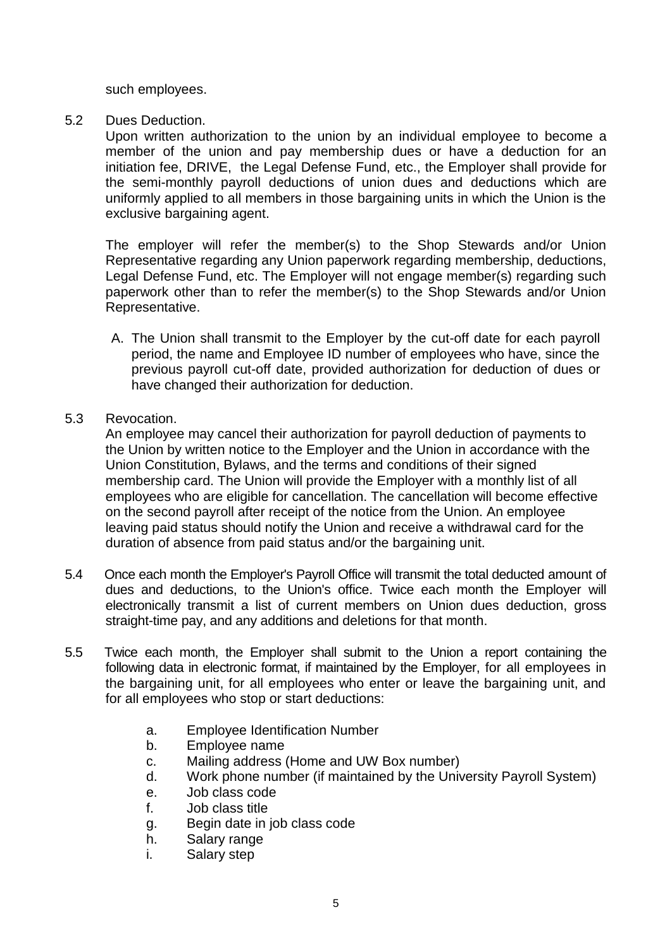such employees.

## 5.2 Dues Deduction.

Upon written authorization to the union by an individual employee to become a member of the union and pay membership dues or have a deduction for an initiation fee, DRIVE, the Legal Defense Fund, etc., the Employer shall provide for the semi-monthly payroll deductions of union dues and deductions which are uniformly applied to all members in those bargaining units in which the Union is the exclusive bargaining agent.

The employer will refer the member(s) to the Shop Stewards and/or Union Representative regarding any Union paperwork regarding membership, deductions, Legal Defense Fund, etc. The Employer will not engage member(s) regarding such paperwork other than to refer the member(s) to the Shop Stewards and/or Union Representative.

A. The Union shall transmit to the Employer by the cut-off date for each payroll period, the name and Employee ID number of employees who have, since the previous payroll cut-off date, provided authorization for deduction of dues or have changed their authorization for deduction.

# 5.3 Revocation.

An employee may cancel their authorization for payroll deduction of payments to the Union by written notice to the Employer and the Union in accordance with the Union Constitution, Bylaws, and the terms and conditions of their signed membership card. The Union will provide the Employer with a monthly list of all employees who are eligible for cancellation. The cancellation will become effective on the second payroll after receipt of the notice from the Union. An employee leaving paid status should notify the Union and receive a withdrawal card for the duration of absence from paid status and/or the bargaining unit.

- 5.4 Once each month the Employer's Payroll Office will transmit the total deducted amount of dues and deductions, to the Union's office. Twice each month the Employer will electronically transmit a list of current members on Union dues deduction, gross straight-time pay, and any additions and deletions for that month.
- 5.5 Twice each month, the Employer shall submit to the Union a report containing the following data in electronic format, if maintained by the Employer, for all employees in the bargaining unit, for all employees who enter or leave the bargaining unit, and for all employees who stop or start deductions:
	- a. Employee Identification Number
	- b. Employee name
	- c. Mailing address (Home and UW Box number)
	- d. Work phone number (if maintained by the University Payroll System)
	- e. Job class code
	- f. Job class title
	- g. Begin date in job class code
	- h. Salary range
	- i. Salary step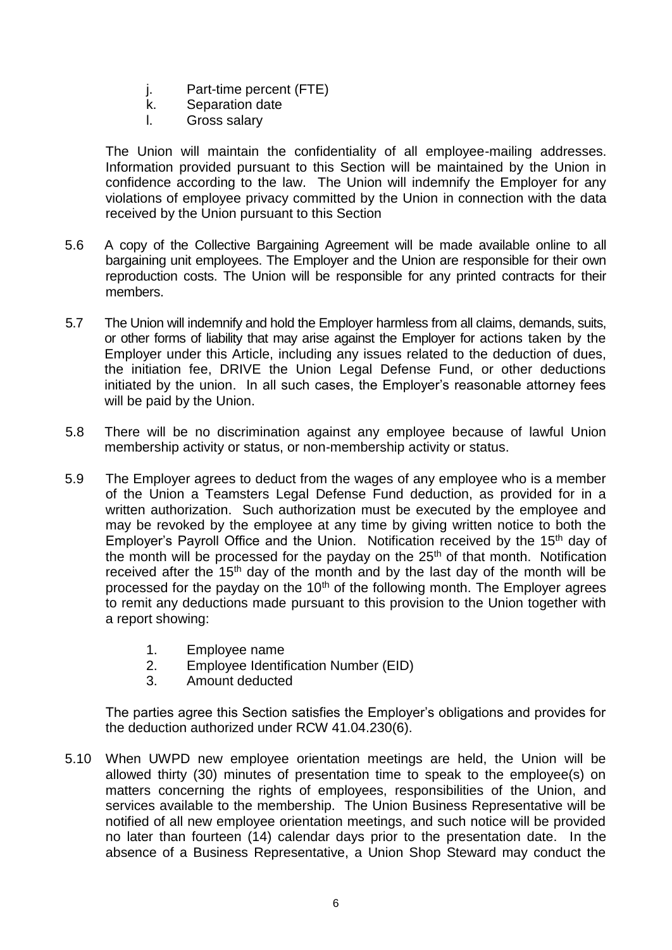- j. Part-time percent (FTE)
- k. Separation date
- l. Gross salary

The Union will maintain the confidentiality of all employee-mailing addresses. Information provided pursuant to this Section will be maintained by the Union in confidence according to the law. The Union will indemnify the Employer for any violations of employee privacy committed by the Union in connection with the data received by the Union pursuant to this Section

- 5.6 A copy of the Collective Bargaining Agreement will be made available online to all bargaining unit employees. The Employer and the Union are responsible for their own reproduction costs. The Union will be responsible for any printed contracts for their members.
- 5.7 The Union will indemnify and hold the Employer harmless from all claims, demands, suits, or other forms of liability that may arise against the Employer for actions taken by the Employer under this Article, including any issues related to the deduction of dues, the initiation fee, DRIVE the Union Legal Defense Fund, or other deductions initiated by the union. In all such cases, the Employer's reasonable attorney fees will be paid by the Union.
- 5.8 There will be no discrimination against any employee because of lawful Union membership activity or status, or non-membership activity or status.
- 5.9 The Employer agrees to deduct from the wages of any employee who is a member of the Union a Teamsters Legal Defense Fund deduction, as provided for in a written authorization. Such authorization must be executed by the employee and may be revoked by the employee at any time by giving written notice to both the Employer's Payroll Office and the Union. Notification received by the 15<sup>th</sup> day of the month will be processed for the payday on the  $25<sup>th</sup>$  of that month. Notification received after the  $15<sup>th</sup>$  day of the month and by the last day of the month will be processed for the payday on the  $10<sup>th</sup>$  of the following month. The Employer agrees to remit any deductions made pursuant to this provision to the Union together with a report showing:
	- 1. Employee name
	- 2. Employee Identification Number (EID)
	- 3. Amount deducted

The parties agree this Section satisfies the Employer's obligations and provides for the deduction authorized under RCW 41.04.230(6).

5.10 When UWPD new employee orientation meetings are held, the Union will be allowed thirty (30) minutes of presentation time to speak to the employee(s) on matters concerning the rights of employees, responsibilities of the Union, and services available to the membership. The Union Business Representative will be notified of all new employee orientation meetings, and such notice will be provided no later than fourteen (14) calendar days prior to the presentation date. In the absence of a Business Representative, a Union Shop Steward may conduct the